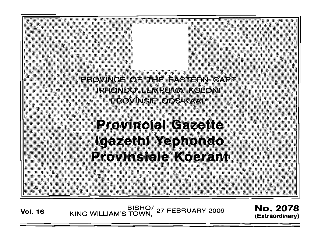PROVINCE OF THE EASTERN CAPE IPHONDO LEMPUMA KOLONI **PROVINSIE OOS-KAAP** 

**Provincial Gazette** Igazethi Yaphondo **Provinsiale Koerant** 

**Vol. 16** BISHO<sup>/</sup> 27 FEBRUARY 2009 **No. 2078**<br>KING WILLIAM'S TOWN, <sup>27 FEBRUARY 2009 (Extraordinary)</sup>

':.:.': .

**(Extraordinary)**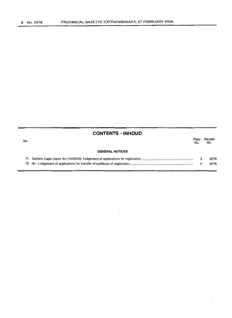| No. | <b>CONTENTS · INHOUD</b> | Page<br>No. | Gazette<br>No. |
|-----|--------------------------|-------------|----------------|
|     | <b>GENERAL NOTICES</b>   |             |                |
| 71  |                          | з           | 2078           |
|     |                          | 6           | 2078           |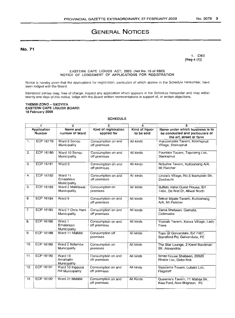# **GENERAL NOTICES**

No. 71

1. CM3 [Reg 4 (1)]

### EASTERN CAPE LIQUOR ACT, 2003 (Act No. 10 of 2003) NOTICE OF LODGEMENT OF APPLICATIONS FOR REGISTRATION

Notice is hereby given that the applications for registration, particulars of which appear in the Schedule hereunder, have been lodged with the Board.

Interested parties may, free of charge, inspect any application which appears in the Schedule hereunder and may within twenty one days of this notice, lodge with the Board written representations in support of, or written objections.

### THEMBI ZONO - GXOYIYA EASTERN CAPE UQUOR BOARD 18 February 2009

## SCHEDULE

| 1                     |                  | 2                                           | 3                                   | 4                            | 5                                                                                             |
|-----------------------|------------------|---------------------------------------------|-------------------------------------|------------------------------|-----------------------------------------------------------------------------------------------|
| Application<br>Number |                  | Name and<br>number of Ward                  | Kind of registration<br>applied for | Kind of liquor<br>to be sold | Name under which business is to<br>be conducted and particulars of<br>the erf, street or farm |
| 1.                    | ECP 16179        | Ward 9 Senqu<br>Municipality                | Consumption on and<br>off premises  | All kinds                    | Vukuzenzele Tavern, Kromspruit<br>Village, Sterkspruit                                        |
| 2.                    | ECP 16180        | Ward 10 Senqu<br>Municipality               | Consumption on and<br>off premises  | All kinds                    | Fountain Tavern, Tapoleng Loc,<br>Sterkspruit                                                 |
| 3.                    | ECP 16181        | Ward 9                                      | Consumption on and<br>off premises  | All kinds                    | Nobuhle Tavern, Kutioanang A/A,<br>Mt Fletcher                                                |
| 4.                    | ECP 16182        | Ward 11<br>Emalahieni<br>Municipality       | Consumption on and<br>off premises  | All kinds                    | Lindie's Village, No.5 Markplain Str,<br>Dordrecht                                            |
| 5.                    | <b>ECP 16183</b> | Ward 2 Maletswai<br>Municipality            | Consumption on<br>premises          | All kinds                    | Buffels Vallei Guest House, Erf<br>1464, De Wet Dr, Aliwal North                              |
| 6.                    | <b>ECP 16184</b> | Ward 9                                      | Consumption on and<br>off premises  | All kinds                    | Sekoti Mpate Tavern, Kutloanang<br>A/A, Mt Fletcher                                           |
| 7.                    | ECP 16185        | Ward 7 Chris Hani<br>Municipality           | Consumption on and<br>off premises  | All kinds                    | Zama Shebeen, Qamata,<br>Cofimvaba                                                            |
| 8.                    | <b>ECP 16186</b> | Ward 1<br>Emalahleni<br>Municipality        | Consumption on and<br>off premises  | All kinds                    | Yoanab Tavern, Xonxa Village, Lady<br>Frere                                                   |
| 9.                    | <b>ECP 16188</b> | Ward 11 NMMM                                | Consumption off<br>premises         | All kinds                    | Tops @ Gelvandale, Erf 7467,<br>Standford Rd, Gelvandale, PE                                  |
| 10.                   | <b>ECP 16189</b> | Ward 2 Ndtambe<br>Municipality              | Consumption on<br>premises          | All kinds                    | The Star Lounge, 2 Karel Bandman<br>Str. Alexandria                                           |
| 11.                   | ECP 16190        | Ward 10<br>Amahlathi<br>Municipality        | Consumption on and<br>off premises  | All kinds                    | White House Shebeen, 20520<br>Rhabe Loc, Debe Nek                                             |
| 12.                   | <b>ECP 16191</b> | Ward 10 Ingquza<br><b>Hill Municipality</b> | Consumption on and<br>off premises  | All kinds                    | Siyazama Tavern, Lubalo Loc,<br>Flagstaff                                                     |
| 13.                   | ECP 16192        | Ward 31 NMMM                                | Consumption on and<br>off premises  | All Kinds                    | Queenie's Tavern, 71 Mabija Str,<br>Kwa Ford, New Brighton. PE                                |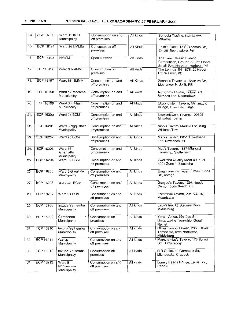| 14. | ECP 16193        | Ward 12 KSD<br>Municipality          | Consumption on and<br>off premises | All kinds | Sondela Trading, Kambi A/A,<br>Mthatha                                                            |
|-----|------------------|--------------------------------------|------------------------------------|-----------|---------------------------------------------------------------------------------------------------|
| 15. | <b>ECP 16194</b> | Ward 34 NMMM                         | Consumption off<br>premises        | All Kinds | Faith's Place, 15 St Thomas Str,<br>Ext.28, Bethelsdorp, PE                                       |
| 16. | ECP 16195        | <b>NMMM</b>                          | <b>Special Event</b>               | All kinds | The Tuna Classic Fishing<br>Competition, Ground & First Floors<br>Small Boat Harbour, Harbour, PE |
| 17. | ECP 16196        | Ward 3 NMMM                          | Consumption on<br>premises         | All kinds | The Lennox, Erf 1678, 24 Heugh<br>Rd, Walmer, PE                                                  |
| 18. | ECP 16197        | Ward 58 NMMM                         | Consumption on and<br>off premises | All Kinds | Zenani's Tavern, 41 Nyutura Str,<br>Motherwell N.U.4B, PE                                         |
| 19. | <b>ECP 16198</b> | Ward 17 Mnquma<br>Municipality       | Consumption on and<br>off premises | Ail kinds | Nozipho's Tavern, Toboyi A/A,<br>Mirrlees Loc, Ngamakwe                                           |
| 20. | ECP 16199        | Ward 3 Lukhanji<br>Municipality      | Consumption on and<br>off premises | All kinds | Ekuphumleni Tavern, Manzezulu<br>Village, Emachibi, Ilinge                                        |
| 21. | <b>ECP 16200</b> | Ward 25 BCM                          | Consumption on and<br>off premises | All kinds | Ntswentswe's Tavern, 100805<br>Mntlabati, Berlin                                                  |
| 22. | <b>ECP 16201</b> | Ward 5 Ngqushwa<br>Municipality      | Consumption on and<br>off premises | All kinds | Sino's Tavern, Madliki Loc, King<br>Williams Town                                                 |
| 23. | ECP 16202        | Ward 26 BCM                          | Consumption on and<br>off premises | All kinds | Marks Tavern, 60519 Kwetyana<br>Loc, Newlands, EL                                                 |
| 24. | ECP 16203        | Ward 16<br>Amahlathi<br>Municipality | Consumption on and<br>off premises | All kinds | May's Tavern, 1887 Mlungisi<br>Township, Stutterheim                                              |
| 25. | ECP 16204        | Ward 39 BCM                          | Consumption on and<br>off premises | All kinds | Zwelitsha Quality Meat & Liquor,<br>3094 Zone 4, Zwelitsha                                        |
| 26. | <b>ECP 16205</b> | Ward 5 Great Kei<br>Municipality     | Consumption on and<br>off premises | All kinds | Emantlaneni's Tavern, 1244 Funda<br>Str, Komga                                                    |
| 27. | ECP 16206        | Ward 23 BCM                          | Consumption on and<br>off premises | All kinds | Gcogco's Tavern, 1295 Needs<br>Camp, Kidds Beach, EL                                              |
| 28. | ECP 16207        | Ward 21 BCM                          | Consumption on and<br>off premises | All kinds | Entombini Tavern, 204 N.U.15,<br>Mdantsane                                                        |
| 29. | ECP 16208        | Inxuba Yethemba<br>Municipality      | Consumption on and<br>off premises | All kinds | Lady's Inn, 23 Stevens Drive,<br>Middelburg                                                       |
| 30. | ECP 16209        | Camdeboo<br>Municipality             | Consumption on<br>premises         | All kinds | Yima - Africa, 696 Top Str,<br>Umasizakhe Township, Graaff<br>Reinet                              |
| 31. | ECP 16210        | Inxuba Yethemba<br>Municipality      | Consumption on and<br>off premises | All kinds | Oliver Tambo Tavern, 2056 Oliver<br>Tambo Rd, Kwa Nonzame,<br>Middelburg                          |
| 32. | ECP 16211        | Gariep<br>Municipality               | Consumption on and<br>off premises | All kinds | Mamthembu's Tavern, 178 Sontsi<br>Str, Burgersdorp                                                |
| 33. | ECP 16212        | Inxuba Yethemba<br>Municipality      | Consumption off<br>premises        | All kinds | R B Outlet, 19 Gemsbok Str,<br>Michausdal, Cradock                                                |
| 34. | ECP 16213        | Ward 9<br>Ngquushwa<br>Municipality  | Consumption on and<br>off premises | All kinds | Lonely Hearts House, Lewis Loc,<br>Peddie                                                         |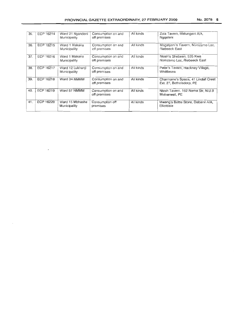| 35. | ECP 16214 | Ward 21 Nyandeni<br>Municipality | Consumption on and<br>off premises | All kinds | Zola Tavern, Malungeni A/A,<br>Nggeleni                         |
|-----|-----------|----------------------------------|------------------------------------|-----------|-----------------------------------------------------------------|
| 36. | ECP 16215 | Ward 1 Makana<br>Municipality    | Consumption on and<br>off premises | All kinds | Magatyeni's Tavern, Nomzamo Loc,<br>Riebeeck East               |
| 37. | ECP 16216 | Ward 1 Makana<br>Municipality    | Consumption on and<br>off premises | All kinds | Ntosh's Shebeen, 535 Kwa<br>Nomzamo Loc, Riebeeck East          |
| 38. | ECP 16217 | Ward 12 Lukhanii<br>Municipality | Consumption on and<br>off premises | All kinds | Peter's Tavern, Hackney Village,<br>Whittlesea                  |
| 39. | ECP 16218 | Ward 34 NMMM                     | Consumption on and<br>off premises | All kinds | Charmaine's Spaza, 41 Lindall Crest<br>Ext. 27. Bethelsdorp, PE |
| 40. | ECP 16219 | Ward 57 NMMM                     | Consumption on and<br>off premises | All kinds | Ntosh Tavern, 162 Noma Str, N.U.9<br>Motherwell, PE             |
| 41. | ECP 16220 | Ward 15 Mbhashe<br>Municipality  | Consumption off<br>premises        | All kinds | Mwang's Bottle Store, Dabane A/A,<br>Elliotdale                 |

 $\overline{a}$